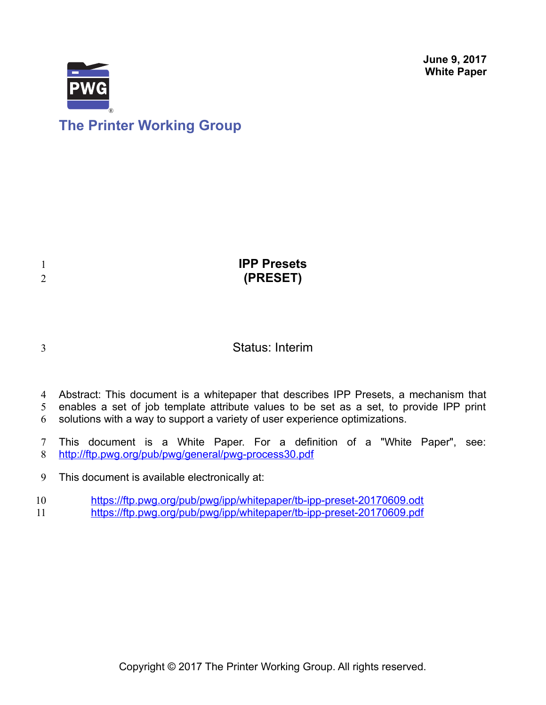**June 9, 2017 White Paper**





| <b>IPP Presets</b> |
|--------------------|
| (PRESET)           |
|                    |

# 3

1 2

# Status: Interim

- Abstract: This document is a whitepaper that describes IPP Presets, a mechanism that 4
- enables a set of job template attribute values to be set as a set, to provide IPP print 5
- solutions with a way to support a variety of user experience optimizations. 6
- This document is a White Paper. For a definition of a "White Paper", see: <http://ftp.pwg.org/pub/pwg/general/pwg-process30.pdf> 7 8
- This document is available electronically at: 9
- <https://ftp.pwg.org/pub/pwg/ipp/whitepaper/tb-ipp-preset-20170609.odt> 10
- <https://ftp.pwg.org/pub/pwg/ipp/whitepaper/tb-ipp-preset-20170609.pdf> 11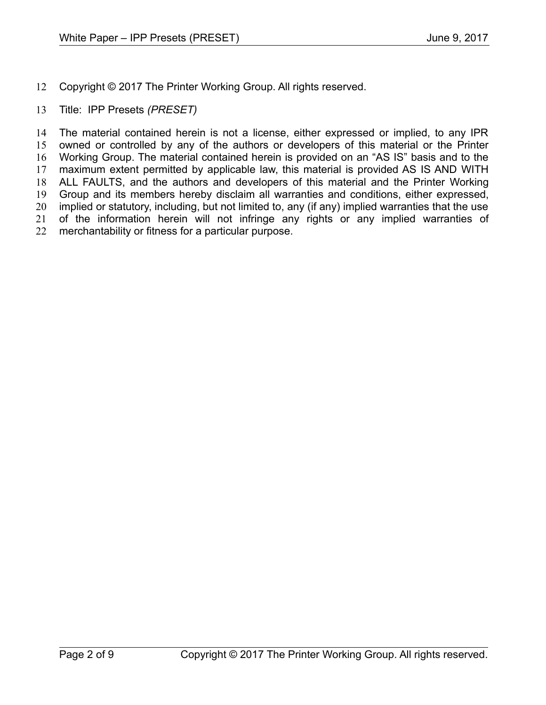- Copyright © 2017 The Printer Working Group. All rights reserved. 12
- Title: IPP Presets *(PRESET)* 13

The material contained herein is not a license, either expressed or implied, to any IPR owned or controlled by any of the authors or developers of this material or the Printer Working Group. The material contained herein is provided on an "AS IS" basis and to the maximum extent permitted by applicable law, this material is provided AS IS AND WITH ALL FAULTS, and the authors and developers of this material and the Printer Working Group and its members hereby disclaim all warranties and conditions, either expressed, implied or statutory, including, but not limited to, any (if any) implied warranties that the use of the information herein will not infringe any rights or any implied warranties of merchantability or fitness for a particular purpose. 14 15 16 17 18 19 20 21 22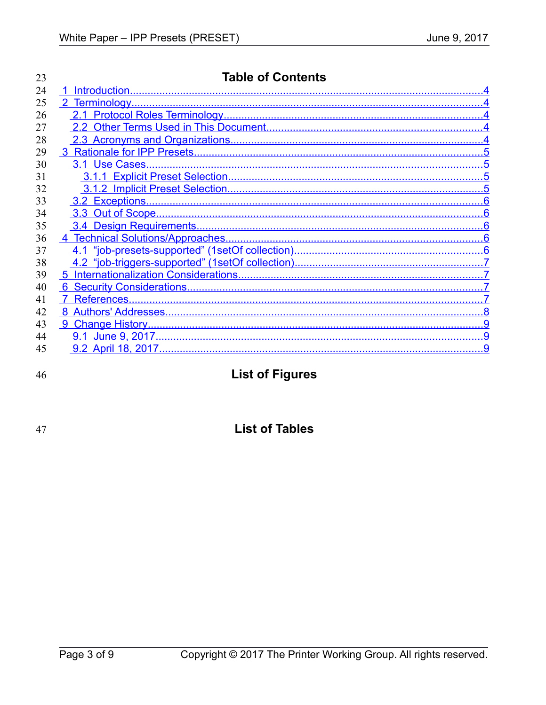| 23 | <b>Table of Contents</b> |  |
|----|--------------------------|--|
| 24 | $\blacktriangleleft$     |  |
| 25 |                          |  |
| 26 |                          |  |
| 27 |                          |  |
| 28 |                          |  |
| 29 |                          |  |
| 30 |                          |  |
| 31 |                          |  |
| 32 |                          |  |
| 33 |                          |  |
| 34 |                          |  |
| 35 |                          |  |
| 36 |                          |  |
| 37 |                          |  |
| 38 |                          |  |
| 39 |                          |  |
| 40 |                          |  |
| 41 |                          |  |
| 42 |                          |  |
| 43 |                          |  |
| 44 |                          |  |
| 45 |                          |  |

46

|  |  |  | <b>List of Figures</b> |
|--|--|--|------------------------|
|--|--|--|------------------------|

47

# **List of Tables**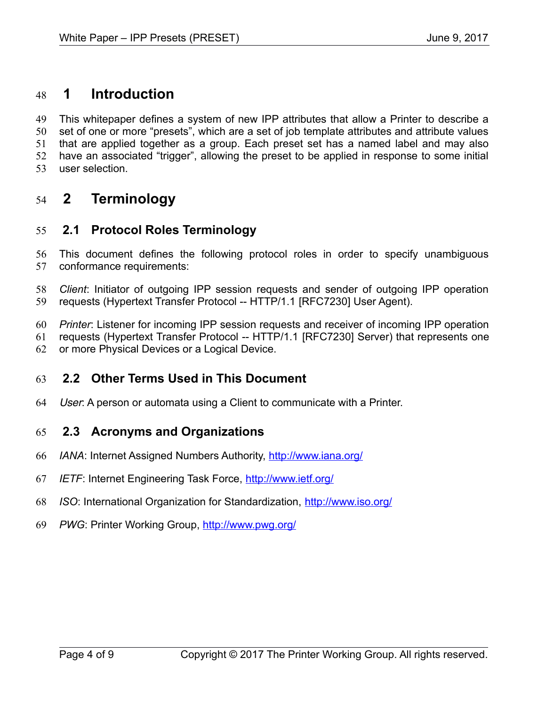# <span id="page-3-4"></span> **1 Introduction** 48

This whitepaper defines a system of new IPP attributes that allow a Printer to describe a set of one or more "presets", which are a set of job template attributes and attribute values that are applied together as a group. Each preset set has a named label and may also have an associated "trigger", allowing the preset to be applied in response to some initial user selection. 49 50 51 52 53

# <span id="page-3-3"></span> **2 Terminology** 54

#### <span id="page-3-2"></span> **2.1 Protocol Roles Terminology** 55

This document defines the following protocol roles in order to specify unambiguous conformance requirements: 56 57

*Client*: Initiator of outgoing IPP session requests and sender of outgoing IPP operation requests (Hypertext Transfer Protocol -- HTTP/1.1 [\[RFC7230\]](#page-7-1) User Agent). 58 59

*Printer*: Listener for incoming IPP session requests and receiver of incoming IPP operation requests (Hypertext Transfer Protocol -- HTTP/1.1 [\[RFC7230\]](#page-7-1) Server) that represents one 60 61

or more Physical Devices or a Logical Device. 62

#### <span id="page-3-1"></span> **2.2 Other Terms Used in This Document** 63

User: A person or automata using a Client to communicate with a Printer. 64

#### <span id="page-3-0"></span> **2.3 Acronyms and Organizations** 65

- *IANA*: Internet Assigned Numbers Authority,<http://www.iana.org/> 66
- *IETF*: Internet Engineering Task Force,<http://www.ietf.org/> 67
- *ISO*: International Organization for Standardization,<http://www.iso.org/> 68
- *PWG*: Printer Working Group,<http://www.pwg.org/> 69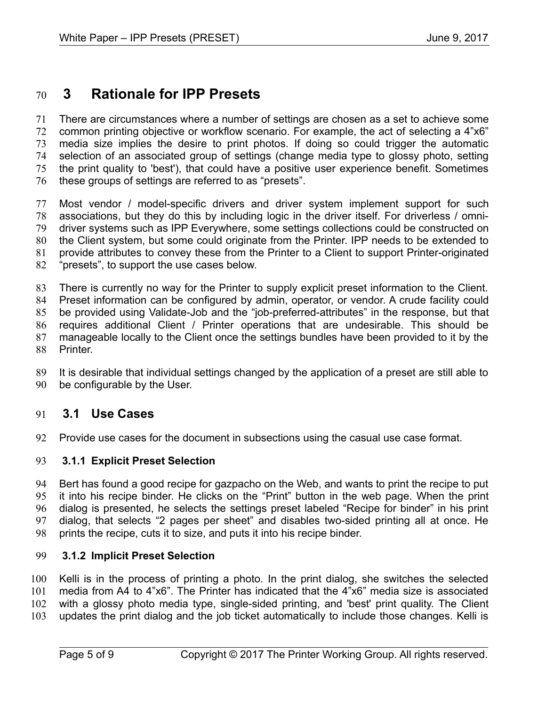# <span id="page-4-3"></span> **3 Rationale for IPP Presets** 70

There are circumstances where a number of settings are chosen as a set to achieve some common printing objective or workflow scenario. For example, the act of selecting a 4"x6" media size implies the desire to print photos. If doing so could trigger the automatic selection of an associated group of settings (change media type to glossy photo, setting the print quality to 'best'), that could have a positive user experience benefit. Sometimes these groups of settings are referred to as "presets". 71 72 73 74 75 76

Most vendor / model-specific drivers and driver system implement support for such associations, but they do this by including logic in the driver itself. For driverless / omnidriver systems such as IPP Everywhere, some settings collections could be constructed on the Client system, but some could originate from the Printer. IPP needs to be extended to provide attributes to convey these from the Printer to a Client to support Printer-originated "presets", to support the use cases below. 77 78 79 80 81 82

There is currently no way for the Printer to supply explicit preset information to the Client. Preset information can be configured by admin, operator, or vendor. A crude facility could be provided using Validate-Job and the "job-preferred-attributes" in the response, but that requires additional Client / Printer operations that are undesirable. This should be manageable locally to the Client once the settings bundles have been provided to it by the Printer. 83 84 85 86 87 88

It is desirable that individual settings changed by the application of a preset are still able to be configurable by the User. 89 90

#### <span id="page-4-2"></span> **3.1 Use Cases** 91

Provide use cases for the document in subsections using the casual use case format. 92

#### <span id="page-4-1"></span> **3.1.1 Explicit Preset Selection** 93

Bert has found a good recipe for gazpacho on the Web, and wants to print the recipe to put it into his recipe binder. He clicks on the "Print" button in the web page. When the print dialog is presented, he selects the settings preset labeled "Recipe for binder" in his print dialog, that selects "2 pages per sheet" and disables two-sided printing all at once. He prints the recipe, cuts it to size, and puts it into his recipe binder. 94 95 96 97 98

#### <span id="page-4-0"></span> **3.1.2 Implicit Preset Selection** 99

Kelli is in the process of printing a photo. In the print dialog, she switches the selected media from A4 to 4"x6". The Printer has indicated that the 4"x6" media size is associated with a glossy photo media type, single-sided printing, and 'best' print quality. The Client updates the print dialog and the job ticket automatically to include those changes. Kelli is 100 101 102 103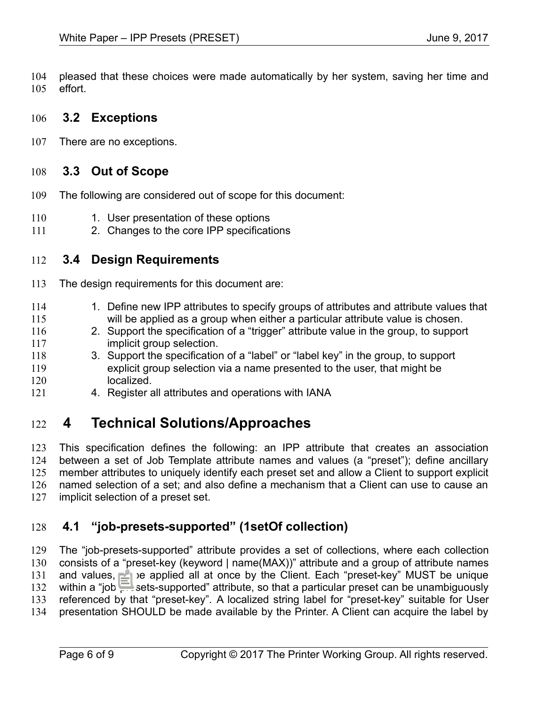pleased that these choices were made automatically by her system, saving her time and effort. 104 105

#### <span id="page-5-4"></span> **3.2 Exceptions** 106

There are no exceptions. 107

#### <span id="page-5-3"></span> **3.3 Out of Scope** 108

- The following are considered out of scope for this document: 109
- 1. User presentation of these options 110
- 2. Changes to the core IPP specifications 111

#### <span id="page-5-2"></span> **3.4 Design Requirements** 112

The design requirements for this document are: 113

- 1. Define new IPP attributes to specify groups of attributes and attribute values that will be applied as a group when either a particular attribute value is chosen. 114 115
- 2. Support the specification of a "trigger" attribute value in the group, to support implicit group selection. 116 117
- 3. Support the specification of a "label" or "label key" in the group, to support explicit group selection via a name presented to the user, that might be localized. 118 119 120
- 4. Register all attributes and operations with IANA 121

# <span id="page-5-1"></span> **4 Technical Solutions/Approaches** 122

This specification defines the following: an IPP attribute that creates an association between a set of Job Template attribute names and values (a "preset"); define ancillary member attributes to uniquely identify each preset set and allow a Client to support explicit named selection of a set; and also define a mechanism that a Client can use to cause an implicit selection of a preset set. 123 124 125 126 127

#### <span id="page-5-0"></span> **4.1 "job-presets-supported" (1setOf collection)** 128

The "job-presets-supported" attribute provides a set of collections, where each collection consists of a "preset-key (keyword | name(MAX))" attribute and a group of attribute names and values, to be applied all at once by the Client. Each "preset-key" MUST be unique within a "job-presets-supported" attribute, so that a particular preset can be unambiguously referenced by that "preset-key". A localized string label for "preset-key" suitable for User presentation SHOULD be made available by the Printer. A Client can acquire the label by 129 130 131 132 133 134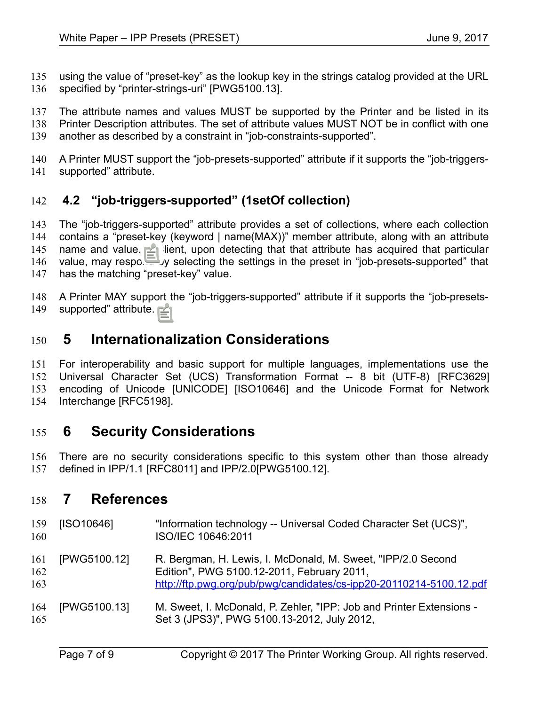using the value of "preset-key" as the lookup key in the strings catalog provided at the URL specified by "printer-strings-uri" [\[PWG5100.13\].](#page-6-6) 135 136

The attribute names and values MUST be supported by the Printer and be listed in its Printer Description attributes. The set of attribute values MUST NOT be in conflict with one another as described by a constraint in "job-constraints-supported". 137 138 139

A Printer MUST support the "job-presets-supported" attribute if it supports the "job-triggerssupported" attribute. 140 141

### <span id="page-6-3"></span> **4.2 "job-triggers-supported" (1setOf collection)** 142

The "job-triggers-supported" attribute provides a set of collections, where each collection contains a "preset-key (keyword | name(MAX))" member attribute, along with an attribute name and value. A Client, upon detecting that that attribute has acquired that particular value, may respond by selecting the settings in the preset in "job-presets-supported" that has the matching "preset-key" value. 143 144 145 146 147

A Printer MAY support the "job-triggers-supported" attribute if it supports the "job-presetssupported" attribute. 148 149

# <span id="page-6-2"></span> **5 Internationalization Considerations** 150

For interoperability and basic support for multiple languages, implementations use the Universal Character Set (UCS) Transformation Format -- 8 bit (UTF-8) [\[RFC3629\]](#page-7-5) encoding of Unicode [\[UNICODE\]](#page-7-4) [\[ISO10646\]](#page-6-5) and the Unicode Format for Network Interchange [\[RFC5198\].](#page-7-3) 151 152 153 154

# <span id="page-6-1"></span> **6 Security Considerations** 155

There are no security considerations specific to this system other than those already defined in IPP/1.1 [\[RFC8011\]](#page-7-2) and IPP/2.[0\[PWG5100.12\].](#page-6-4) 156 157

## <span id="page-6-0"></span> **7 References** 158

<span id="page-6-6"></span><span id="page-6-5"></span><span id="page-6-4"></span>

| 159<br>160        | [ISO10646]   | "Information technology -- Universal Coded Character Set (UCS)",<br>ISO/IEC 10646:2011                                                                                             |
|-------------------|--------------|------------------------------------------------------------------------------------------------------------------------------------------------------------------------------------|
| 161<br>162<br>163 | [PWG5100.12] | R. Bergman, H. Lewis, I. McDonald, M. Sweet, "IPP/2.0 Second"<br>Edition", PWG 5100.12-2011, February 2011,<br>http://ftp.pwg.org/pub/pwg/candidates/cs-ipp20-20110214-5100.12.pdf |
| 164<br>165        | [PWG5100.13] | M. Sweet, I. McDonald, P. Zehler, "IPP: Job and Printer Extensions -<br>Set 3 (JPS3)", PWG 5100.13-2012, July 2012,                                                                |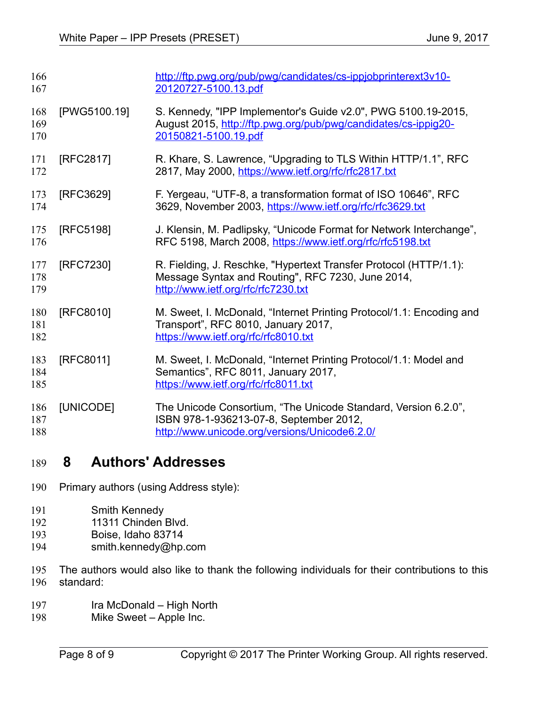<span id="page-7-5"></span><span id="page-7-3"></span><span id="page-7-1"></span>

| 166<br>167        |              | http://ftp.pwg.org/pub/pwg/candidates/cs-ippjobprinterext3v10-<br>20120727-5100.13.pdf                                                                        |
|-------------------|--------------|---------------------------------------------------------------------------------------------------------------------------------------------------------------|
| 168<br>169<br>170 | [PWG5100.19] | S. Kennedy, "IPP Implementor's Guide v2.0", PWG 5100.19-2015,<br>August 2015, http://ftp.pwg.org/pub/pwg/candidates/cs-ippig20-<br>20150821-5100.19.pdf       |
| 171<br>172        | [RFC2817]    | R. Khare, S. Lawrence, "Upgrading to TLS Within HTTP/1.1", RFC<br>2817, May 2000, https://www.ietf.org/rfc/rfc2817.txt                                        |
| 173<br>174        | [RFC3629]    | F. Yergeau, "UTF-8, a transformation format of ISO 10646", RFC<br>3629, November 2003, https://www.ietf.org/rfc/rfc3629.txt                                   |
| 175<br>176        | [RFC5198]    | J. Klensin, M. Padlipsky, "Unicode Format for Network Interchange",<br>RFC 5198, March 2008, https://www.ietf.org/rfc/rfc5198.txt                             |
| 177<br>178<br>179 | [RFC7230]    | R. Fielding, J. Reschke, "Hypertext Transfer Protocol (HTTP/1.1):<br>Message Syntax and Routing", RFC 7230, June 2014,<br>http://www.ietf.org/rfc/rfc7230.txt |
| 180<br>181<br>182 | [RFC8010]    | M. Sweet, I. McDonald, "Internet Printing Protocol/1.1: Encoding and<br>Transport", RFC 8010, January 2017,<br>https://www.ietf.org/rfc/rfc8010.txt           |
| 183<br>184<br>185 | [RFC8011]    | M. Sweet, I. McDonald, "Internet Printing Protocol/1.1: Model and<br>Semantics", RFC 8011, January 2017,<br>https://www.ietf.org/rfc/rfc8011.txt              |
| 186<br>187<br>188 | [UNICODE]    | The Unicode Consortium, "The Unicode Standard, Version 6.2.0",<br>ISBN 978-1-936213-07-8, September 2012,<br>http://www.unicode.org/versions/Unicode6.2.0/    |

# <span id="page-7-4"></span><span id="page-7-2"></span><span id="page-7-0"></span> **8 Authors' Addresses** 189

- Primary authors (using Address style): 190
- Smith Kennedy 191
- 11311 Chinden Blvd. 192
- Boise, Idaho 83714 193
- smith.kennedy@hp.com 194
- The authors would also like to thank the following individuals for their contributions to this standard: 195 196
- Ira McDonald High North 197
- Mike Sweet Apple Inc. 198